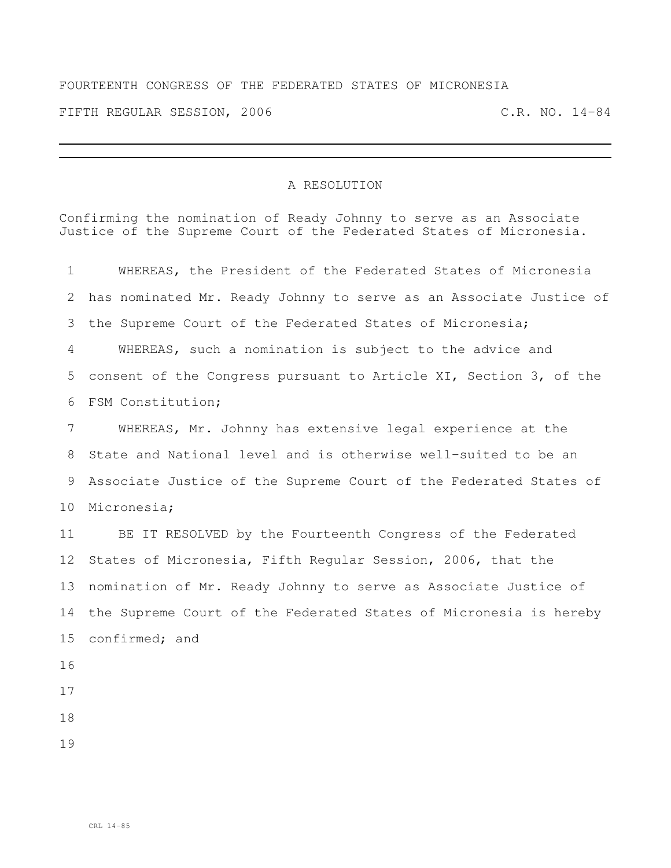## FOURTEENTH CONGRESS OF THE FEDERATED STATES OF MICRONESIA

FIFTH REGULAR SESSION, 2006 C.R. NO. 14-84

## A RESOLUTION

Confirming the nomination of Ready Johnny to serve as an Associate Justice of the Supreme Court of the Federated States of Micronesia.

| 1               | WHEREAS, the President of the Federated States of Micronesia       |
|-----------------|--------------------------------------------------------------------|
| 2               | has nominated Mr. Ready Johnny to serve as an Associate Justice of |
| 3               | the Supreme Court of the Federated States of Micronesia;           |
| 4               | WHEREAS, such a nomination is subject to the advice and            |
| 5               | consent of the Congress pursuant to Article XI, Section 3, of the  |
| 6               | FSM Constitution;                                                  |
| 7               | WHEREAS, Mr. Johnny has extensive legal experience at the          |
| 8               | State and National level and is otherwise well-suited to be an     |
| 9               | Associate Justice of the Supreme Court of the Federated States of  |
| 10 <sub>o</sub> | Micronesia;                                                        |
| 11              | BE IT RESOLVED by the Fourteenth Congress of the Federated         |
| 12              | States of Micronesia, Fifth Regular Session, 2006, that the        |
| 13              | nomination of Mr. Ready Johnny to serve as Associate Justice of    |
| 14              | the Supreme Court of the Federated States of Micronesia is hereby  |
| 15 <sub>2</sub> | confirmed; and                                                     |
| 16              |                                                                    |
| 17              |                                                                    |
| 18              |                                                                    |
| 19              |                                                                    |
|                 |                                                                    |